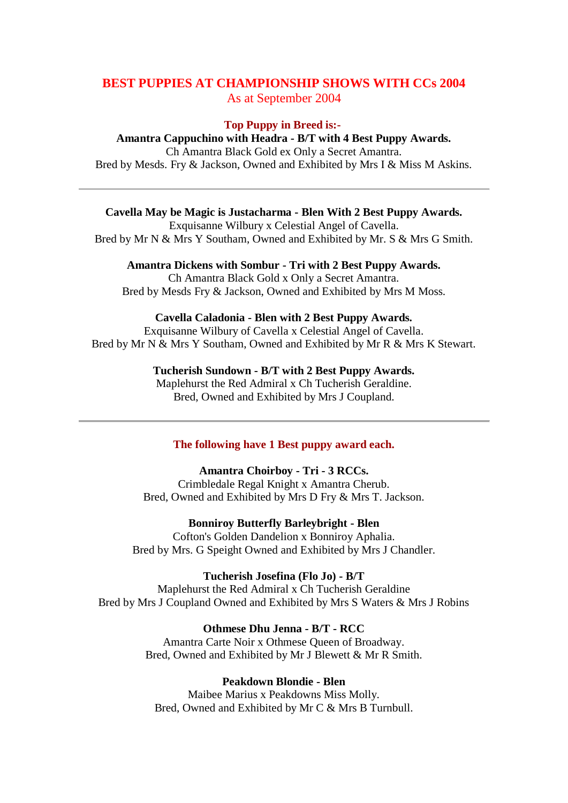# **BEST PUPPIES AT CHAMPIONSHIP SHOWS WITH CCs 2004** As at September 2004

#### **Top Puppy in Breed is:-**

**Amantra Cappuchino with Headra - B/T with 4 Best Puppy Awards.** Ch Amantra Black Gold ex Only a Secret Amantra. Bred by Mesds. Fry & Jackson, Owned and Exhibited by Mrs I & Miss M Askins.

**Cavella May be Magic is Justacharma - Blen With 2 Best Puppy Awards.** Exquisanne Wilbury x Celestial Angel of Cavella.

Bred by Mr N & Mrs Y Southam, Owned and Exhibited by Mr. S & Mrs G Smith.

**Amantra Dickens with Sombur - Tri with 2 Best Puppy Awards.** Ch Amantra Black Gold x Only a Secret Amantra. Bred by Mesds Fry & Jackson, Owned and Exhibited by Mrs M Moss.

### **Cavella Caladonia - Blen with 2 Best Puppy Awards.**

Exquisanne Wilbury of Cavella x Celestial Angel of Cavella. Bred by Mr N & Mrs Y Southam, Owned and Exhibited by Mr R & Mrs K Stewart.

## **Tucherish Sundown - B/T with 2 Best Puppy Awards.**

Maplehurst the Red Admiral x Ch Tucherish Geraldine. Bred, Owned and Exhibited by Mrs J Coupland.

## **The following have 1 Best puppy award each.**

### **Amantra Choirboy - Tri - 3 RCCs.**

Crimbledale Regal Knight x Amantra Cherub. Bred, Owned and Exhibited by Mrs D Fry & Mrs T. Jackson.

### **Bonniroy Butterfly Barleybright - Blen**

Cofton's Golden Dandelion x Bonniroy Aphalia. Bred by Mrs. G Speight Owned and Exhibited by Mrs J Chandler.

### **Tucherish Josefina (Flo Jo) - B/T**

Maplehurst the Red Admiral x Ch Tucherish Geraldine Bred by Mrs J Coupland Owned and Exhibited by Mrs S Waters & Mrs J Robins

#### **Othmese Dhu Jenna - B/T - RCC**

Amantra Carte Noir x Othmese Queen of Broadway. Bred, Owned and Exhibited by Mr J Blewett & Mr R Smith.

#### **Peakdown Blondie - Blen**

Maibee Marius x Peakdowns Miss Molly. Bred, Owned and Exhibited by Mr C & Mrs B Turnbull.